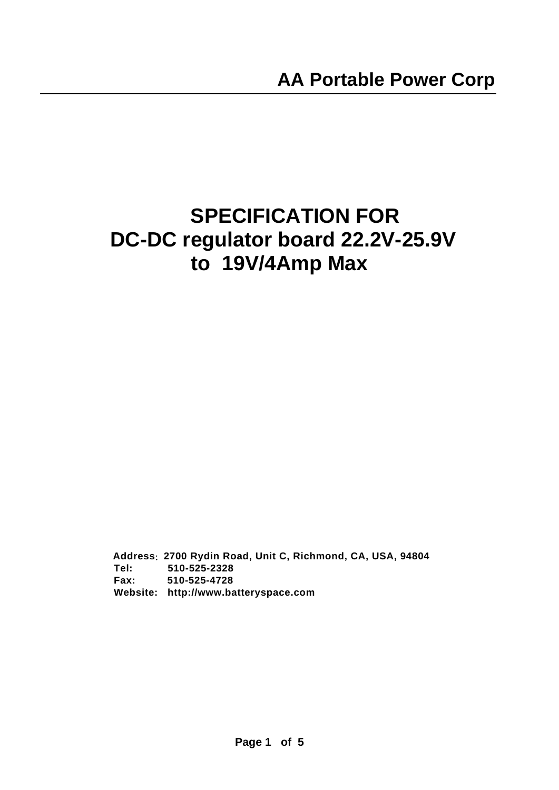# **SPECIFICATION FOR DC-DC regulator board 22.2V-25.9V to 19V/4Amp Max**

 **Address**:**2700 Rydin Road, Unit C, Richmond, CA, USA, 94804 Tel: 510-525-2328 Fax: 510-525-4728 Website: http://www.batteryspace.com**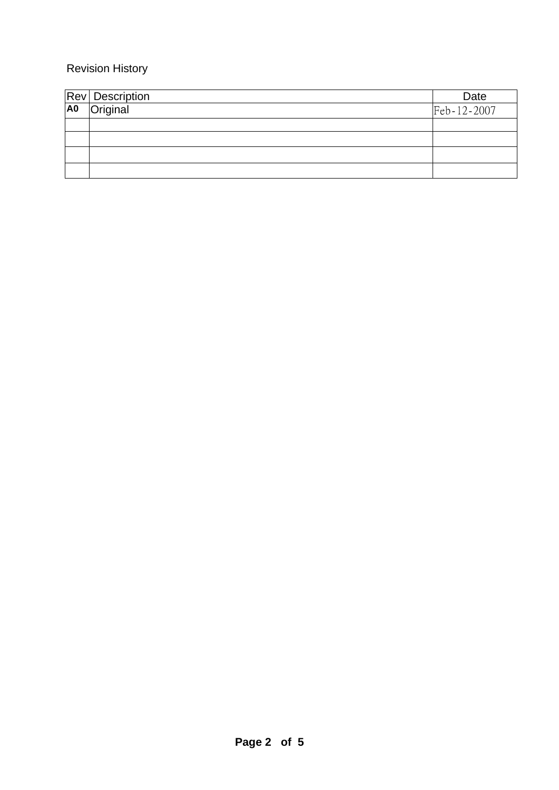## Revision History

|                | Rev Description | Date        |
|----------------|-----------------|-------------|
| A <sub>0</sub> | Original        | Feb-12-2007 |
|                |                 |             |
|                |                 |             |
|                |                 |             |
|                |                 |             |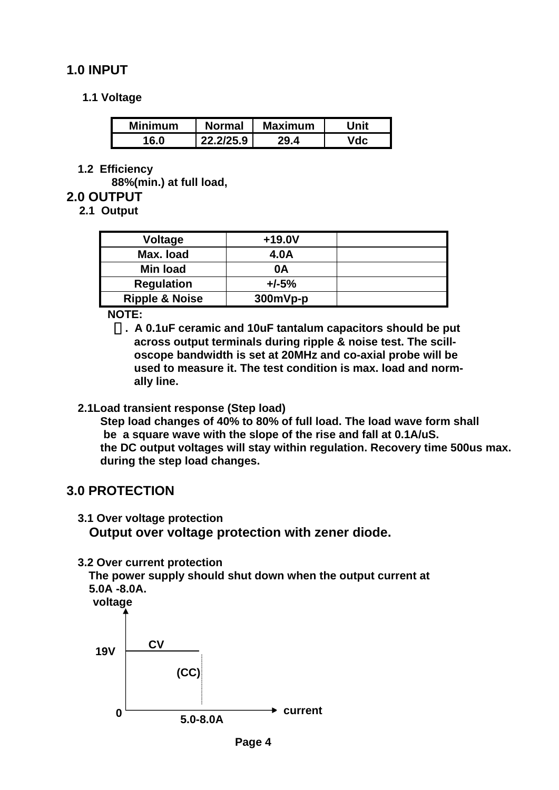# <span id="page-3-0"></span>**1.0 INPUT**

#### **1.1 Voltage**

| <b>Minimum</b> | <b>Normal</b> | <b>Maximum</b> | Jnit |
|----------------|---------------|----------------|------|
| 16 N           | 22.2/25.9     | 70 A           |      |

**1.2 Efficiency** 

**88%(min.) at full load,** 

#### **2.0 OUTPUT**

 **2.1 Output** 

| <b>Voltage</b>            | $+19.0V$ |  |
|---------------------------|----------|--|
| Max. load                 | 4.0A     |  |
| <b>Min load</b>           | 0Α       |  |
| <b>Regulation</b>         | $+/-5%$  |  |
| <b>Ripple &amp; Noise</b> | 300mVp-p |  |

 **NOTE:** 

 **. A 0.1uF ceramic and 10uF tantalum capacitors should be put across output terminals during ripple & noise test. The scilloscope bandwidth is set at 20MHz and co-axial probe will be used to measure it. The test condition is max. load and normally line.** 

#### **2.1Load transient response (Step load)**

**Step load changes of 40% to 80% of full load. The load wave form shall be a square wave with the slope of the rise and fall at 0.1A/uS. the DC output voltages will stay within regulation. Recovery time 500us max. during the step load changes.** 

#### **3.0 PROTECTION**

- **3.1 Over voltage protection Output over voltage protection with zener diode.**
- **3.2 Over current protection**

 **The power supply should shut down when the output current at 5.0A -8.0A.**